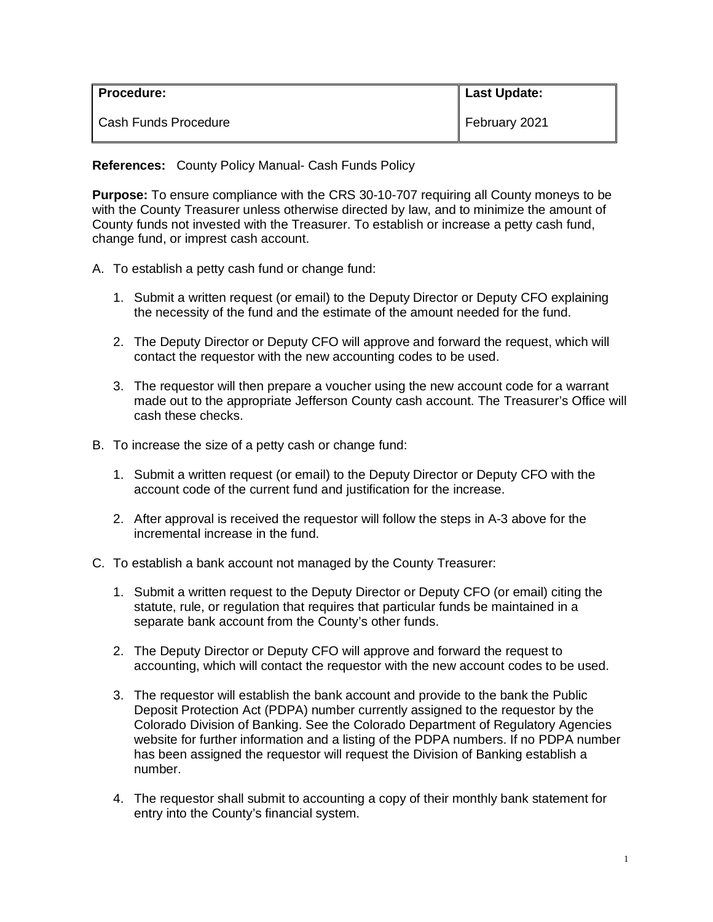| l Procedure:         | Last Update:  |
|----------------------|---------------|
| Cash Funds Procedure | February 2021 |

**References:** County Policy Manual- Cash Funds Policy

**Purpose:** To ensure compliance with the CRS 30-10-707 requiring all County moneys to be with the County Treasurer unless otherwise directed by law, and to minimize the amount of County funds not invested with the Treasurer. To establish or increase a petty cash fund, change fund, or imprest cash account.

- A. To establish a petty cash fund or change fund:
	- 1. Submit a written request (or email) to the Deputy Director or Deputy CFO explaining the necessity of the fund and the estimate of the amount needed for the fund.
	- 2. The Deputy Director or Deputy CFO will approve and forward the request, which will contact the requestor with the new accounting codes to be used.
	- 3. The requestor will then prepare a voucher using the new account code for a warrant made out to the appropriate Jefferson County cash account. The Treasurer's Office will cash these checks.
- B. To increase the size of a petty cash or change fund:
	- 1. Submit a written request (or email) to the Deputy Director or Deputy CFO with the account code of the current fund and justification for the increase.
	- 2. After approval is received the requestor will follow the steps in A-3 above for the incremental increase in the fund.
- C. To establish a bank account not managed by the County Treasurer:
	- 1. Submit a written request to the Deputy Director or Deputy CFO (or email) citing the statute, rule, or regulation that requires that particular funds be maintained in a separate bank account from the County's other funds.
	- 2. The Deputy Director or Deputy CFO will approve and forward the request to accounting, which will contact the requestor with the new account codes to be used.
	- 3. The requestor will establish the bank account and provide to the bank the Public Deposit Protection Act (PDPA) number currently assigned to the requestor by the Colorado Division of Banking. See the Colorado Department of Regulatory Agencies website for further information and a listing of the PDPA numbers. If no PDPA number has been assigned the requestor will request the Division of Banking establish a number.
	- 4. The requestor shall submit to accounting a copy of their monthly bank statement for entry into the County's financial system.